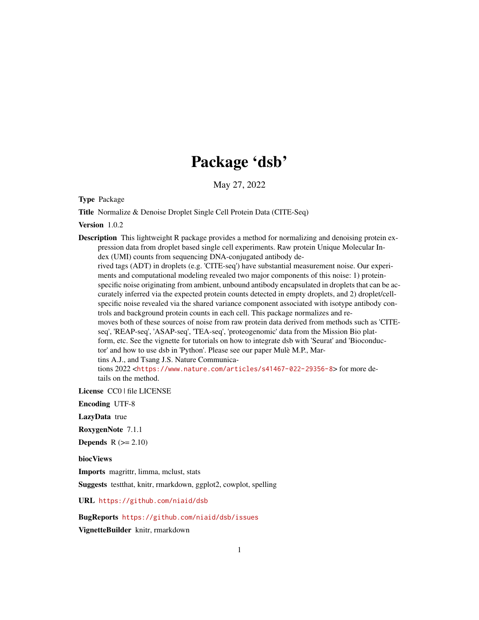# Package 'dsb'

May 27, 2022

Type Package

Title Normalize & Denoise Droplet Single Cell Protein Data (CITE-Seq)

Version 1.0.2

Description This lightweight R package provides a method for normalizing and denoising protein expression data from droplet based single cell experiments. Raw protein Unique Molecular Index (UMI) counts from sequencing DNA-conjugated antibody derived tags (ADT) in droplets (e.g. 'CITE-seq') have substantial measurement noise. Our experiments and computational modeling revealed two major components of this noise: 1) proteinspecific noise originating from ambient, unbound antibody encapsulated in droplets that can be accurately inferred via the expected protein counts detected in empty droplets, and 2) droplet/cellspecific noise revealed via the shared variance component associated with isotype antibody controls and background protein counts in each cell. This package normalizes and removes both of these sources of noise from raw protein data derived from methods such as 'CITEseq', 'REAP-seq', 'ASAP-seq', 'TEA-seq', 'proteogenomic' data from the Mission Bio platform, etc. See the vignette for tutorials on how to integrate dsb with 'Seurat' and 'Bioconductor' and how to use dsb in 'Python'. Please see our paper Mulè M.P., Martins A.J., and Tsang J.S. Nature Communications 2022 <<https://www.nature.com/articles/s41467-022-29356-8>> for more details on the method.

License CC0 | file LICENSE

Encoding UTF-8

LazyData true

RoxygenNote 7.1.1

**Depends**  $R$  ( $>= 2.10$ )

biocViews

Imports magrittr, limma, mclust, stats

Suggests testthat, knitr, rmarkdown, ggplot2, cowplot, spelling

URL <https://github.com/niaid/dsb>

#### BugReports <https://github.com/niaid/dsb/issues>

VignetteBuilder knitr, rmarkdown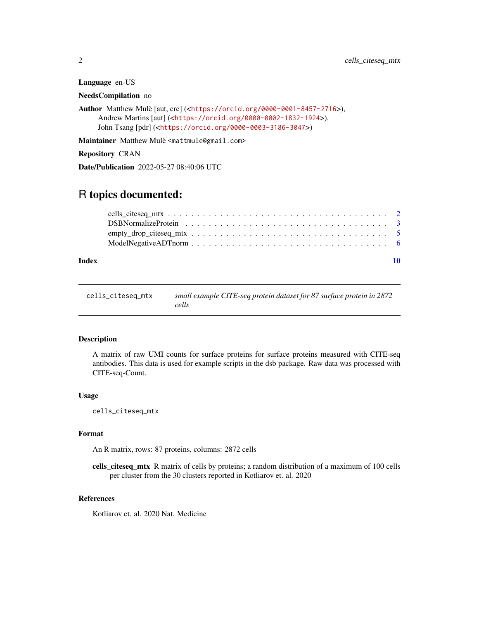Language en-US

#### NeedsCompilation no

```
Author Matthew Mulè [aut, cre] (<https://orcid.org/0000-0001-8457-2716>),
     Andrew Martins [aut] (<https://orcid.org/0000-0002-1832-1924>),
     John Tsang [pdr] (<https://orcid.org/0000-0003-3186-3047>)
```
Maintainer Matthew Mulè <mattmule@gmail.com>

Repository CRAN

Date/Publication 2022-05-27 08:40:06 UTC

## R topics documented:

#### $\blacksquare$

| cells_citeseq_mtx | small example CITE-seq protein dataset for 87 surface protein in 2872 |
|-------------------|-----------------------------------------------------------------------|
|                   | cells                                                                 |

#### Description

A matrix of raw UMI counts for surface proteins for surface proteins measured with CITE-seq antibodies. This data is used for example scripts in the dsb package. Raw data was processed with CITE-seq-Count.

#### Usage

cells\_citeseq\_mtx

#### Format

An R matrix, rows: 87 proteins, columns: 2872 cells

cells\_citeseq\_mtx R matrix of cells by proteins; a random distribution of a maximum of 100 cells per cluster from the 30 clusters reported in Kotliarov et. al. 2020

#### References

Kotliarov et. al. 2020 Nat. Medicine

<span id="page-1-0"></span>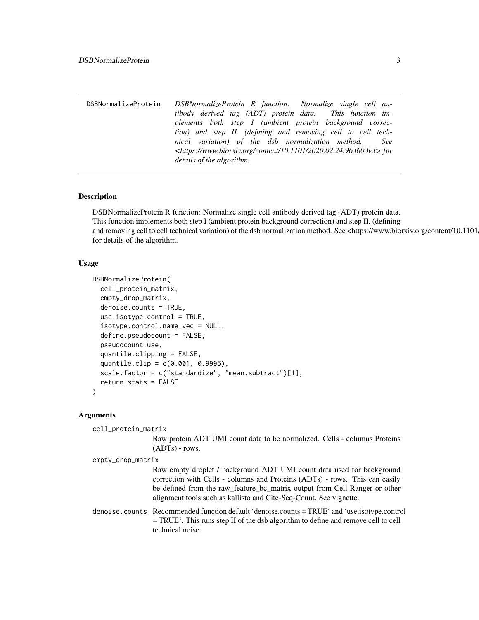<span id="page-2-0"></span>

| DSBNormalizeProtein R function: Normalize single cell an-             |
|-----------------------------------------------------------------------|
| tibody derived tag (ADT) protein data. This function im-              |
| plements both step I (ambient protein background correc-              |
| tion) and step II. (defining and removing cell to cell tech-          |
| nical variation) of the dsb normalization method. See                 |
| $\lt$ https://www.biorxiv.org/content/10.1101/2020.02.24.963603v3>for |
| <i>details of the algorithm.</i>                                      |
|                                                                       |

#### Description

DSBNormalizeProtein R function: Normalize single cell antibody derived tag (ADT) protein data. This function implements both step I (ambient protein background correction) and step II. (defining and removing cell to cell technical variation) of the dsb normalization method. See <https://www.biorxiv.org/content/10.1101 for details of the algorithm.

#### Usage

```
DSBNormalizeProtein(
  cell_protein_matrix,
  empty_drop_matrix,
  denoise.counts = TRUE,
  use.isotype.control = TRUE,
  isotype.control.name.vec = NULL,
  define.pseudocount = FALSE,
  pseudocount.use,
  quantile.clipping = FALSE,
  quantile.clip = c(0.001, 0.9995),
  scale.factor = c("standardize", "mean.subtract")[1],
  return.stats = FALSE
\mathcal{L}
```
#### Arguments

cell\_protein\_matrix

Raw protein ADT UMI count data to be normalized. Cells - columns Proteins (ADTs) - rows.

| empty_drop_matrix |                                                                                                                                                                                                                                                                                                          |
|-------------------|----------------------------------------------------------------------------------------------------------------------------------------------------------------------------------------------------------------------------------------------------------------------------------------------------------|
|                   | Raw empty droplet / background ADT UMI count data used for background<br>correction with Cells - columns and Proteins (ADTs) - rows. This can easily<br>be defined from the raw feature bc matrix output from Cell Ranger or other<br>alignment tools such as kallisto and Cite-Seq-Count. See vignette. |
|                   | denoise.counts Recommended function default 'denoise.counts = TRUE' and 'use.isotype.control<br>$=$ TRUE <sup><math>\cdot</math></sup> . This runs step II of the dsb algorithm to define and remove cell to cell<br>technical noise.                                                                    |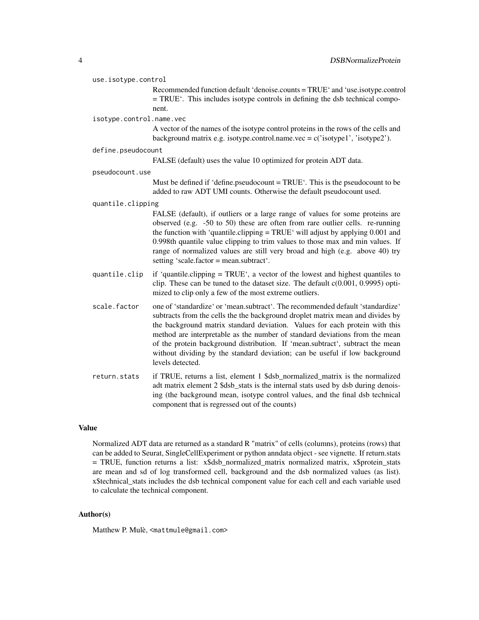use.isotype.control

Recommended function default 'denoise.counts = TRUE' and 'use.isotype.control = TRUE'. This includes isotype controls in defining the dsb technical component.

isotype.control.name.vec

A vector of the names of the isotype control proteins in the rows of the cells and background matrix e.g. isotype.control.name.vec = c('isotype1', 'isotype2').

define.pseudocount

FALSE (default) uses the value 10 optimized for protein ADT data.

#### pseudocount.use

Must be defined if 'define.pseudocount = TRUE'. This is the pseudocount to be added to raw ADT UMI counts. Otherwise the default pseudocount used.

#### quantile.clipping

FALSE (default), if outliers or a large range of values for some proteins are observed (e.g. -50 to 50) these are often from rare outlier cells. re-running the function with 'quantile.clipping = TRUE' will adjust by applying 0.001 and 0.998th quantile value clipping to trim values to those max and min values. If range of normalized values are still very broad and high (e.g. above 40) try setting 'scale.factor = mean.subtract'.

- quantile.clip if 'quantile.clipping  $= TRUE$ ', a vector of the lowest and highest quantiles to clip. These can be tuned to the dataset size. The default c(0.001, 0.9995) optimized to clip only a few of the most extreme outliers.
- scale.factor one of 'standardize' or 'mean.subtract'. The recommended default 'standardize' subtracts from the cells the the background droplet matrix mean and divides by the background matrix standard deviation. Values for each protein with this method are interpretable as the number of standard deviations from the mean of the protein background distribution. If 'mean.subtract', subtract the mean without dividing by the standard deviation; can be useful if low background levels detected.
- return.stats if TRUE, returns a list, element 1 \$dsb\_normalized\_matrix is the normalized adt matrix element 2 \$dsb stats is the internal stats used by dsb during denoising (the background mean, isotype control values, and the final dsb technical component that is regressed out of the counts)

#### Value

Normalized ADT data are returned as a standard R "matrix" of cells (columns), proteins (rows) that can be added to Seurat, SingleCellExperiment or python anndata object - see vignette. If return.stats  $=$  TRUE, function returns a list:  $x\$ 3dsb normalized matrix normalized matrix,  $x\$ protein stats are mean and sd of log transformed cell, background and the dsb normalized values (as list). x\$technical\_stats includes the dsb technical component value for each cell and each variable used to calculate the technical component.

#### Author(s)

Matthew P. Mulè, <mattmule@gmail.com>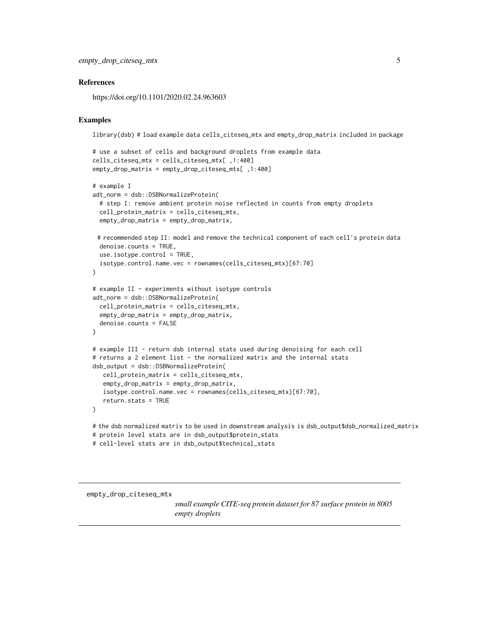#### <span id="page-4-0"></span>References

https://doi.org/10.1101/2020.02.24.963603

#### Examples

library(dsb) # load example data cells\_citeseq\_mtx and empty\_drop\_matrix included in package

```
# use a subset of cells and background droplets from example data
cells_citeseq_mtx = cells_citeseq_mtx[ ,1:400]
empty_drop_matrix = empty_drop_citeseq_mtx[ ,1:400]
# example I
adt_norm = dsb::DSBNormalizeProtein(
 # step I: remove ambient protein noise reflected in counts from empty droplets
 cell_protein_matrix = cells_citeseq_mtx,
 empty_drop_matrix = empty_drop_matrix,
 # recommended step II: model and remove the technical component of each cell's protein data
 denoise.counts = TRUE,
 use.isotype.control = TRUE,
 isotype.control.name.vec = rownames(cells_citeseq_mtx)[67:70]
)
# example II - experiments without isotype controls
adt_norm = dsb::DSBNormalizeProtein(
 cell_protein_matrix = cells_citeseq_mtx,
 empty_drop_matrix = empty_drop_matrix,
 denoise.counts = FALSE
)
# example III - return dsb internal stats used during denoising for each cell
# returns a 2 element list - the normalized matrix and the internal stats
dsb_output = dsb::DSBNormalizeProtein(
  cell_protein_matrix = cells_citeseq_mtx,
   empty_drop_matrix = empty_drop_matrix,
   isotype.control.name.vec = rownames(cells_citeseq_mtx)[67:70],
   return.stats = TRUE
)
# the dsb normalized matrix to be used in downstream analysis is dsb_output$dsb_normalized_matrix
# protein level stats are in dsb_output$protein_stats
```
# cell-level stats are in dsb\_output\$technical\_stats

empty\_drop\_citeseq\_mtx

*small example CITE-seq protein dataset for 87 surface protein in 8005 empty droplets*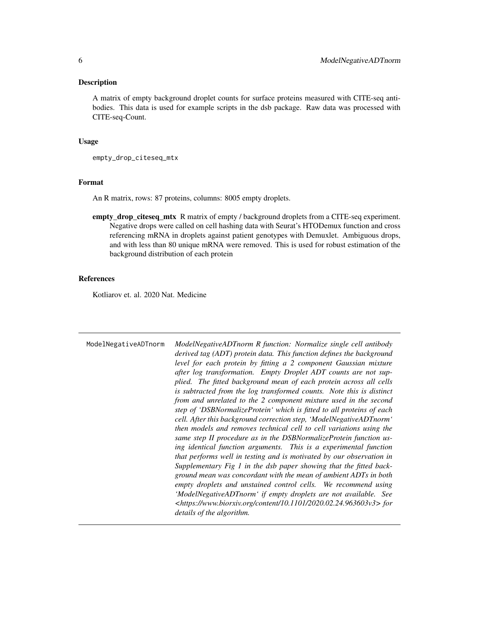#### <span id="page-5-0"></span>Description

A matrix of empty background droplet counts for surface proteins measured with CITE-seq antibodies. This data is used for example scripts in the dsb package. Raw data was processed with CITE-seq-Count.

#### Usage

empty\_drop\_citeseq\_mtx

#### Format

An R matrix, rows: 87 proteins, columns: 8005 empty droplets.

empty\_drop\_citeseq\_mtx R matrix of empty / background droplets from a CITE-seq experiment. Negative drops were called on cell hashing data with Seurat's HTODemux function and cross referencing mRNA in droplets against patient genotypes with Demuxlet. Ambiguous drops, and with less than 80 unique mRNA were removed. This is used for robust estimation of the background distribution of each protein

#### References

Kotliarov et. al. 2020 Nat. Medicine

| ModelNegativeADTnorm | ModelNegativeADTnorm R function: Normalize single cell antibody                       |
|----------------------|---------------------------------------------------------------------------------------|
|                      | derived tag (ADT) protein data. This function defines the background                  |
|                      | level for each protein by fitting a 2 component Gaussian mixture                      |
|                      | after log transformation. Empty Droplet ADT counts are not sup-                       |
|                      | plied. The fitted background mean of each protein across all cells                    |
|                      | is subtracted from the log transformed counts. Note this is distinct                  |
|                      | from and unrelated to the 2 component mixture used in the second                      |
|                      | step of 'DSBNormalizeProtein' which is fitted to all proteins of each                 |
|                      | cell. After this background correction step, 'ModelNegativeADTnorm'                   |
|                      | then models and removes technical cell to cell variations using the                   |
|                      | same step II procedure as in the DSBNormalizeProtein function us-                     |
|                      | ing identical function arguments. This is a experimental function                     |
|                      | that performs well in testing and is motivated by our observation in                  |
|                      | Supplementary Fig 1 in the dsb paper showing that the fitted back-                    |
|                      | ground mean was concordant with the mean of ambient ADTs in both                      |
|                      | empty droplets and unstained control cells. We recommend using                        |
|                      | 'ModelNegativeADTnorm' if empty droplets are not available. See                       |
|                      | <https: 10.1101="" 2020.02.24.963603v3="" content="" www.biorxiv.org=""> for</https:> |
|                      | details of the algorithm.                                                             |
|                      |                                                                                       |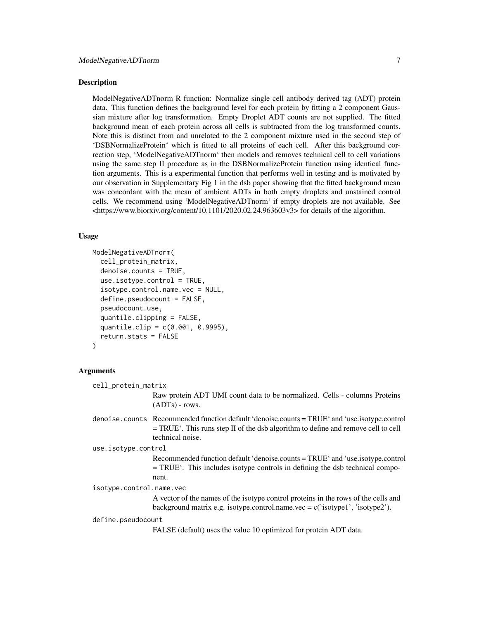#### Description

ModelNegativeADTnorm R function: Normalize single cell antibody derived tag (ADT) protein data. This function defines the background level for each protein by fitting a 2 component Gaussian mixture after log transformation. Empty Droplet ADT counts are not supplied. The fitted background mean of each protein across all cells is subtracted from the log transformed counts. Note this is distinct from and unrelated to the 2 component mixture used in the second step of 'DSBNormalizeProtein' which is fitted to all proteins of each cell. After this background correction step, 'ModelNegativeADTnorm' then models and removes technical cell to cell variations using the same step II procedure as in the DSBNormalizeProtein function using identical function arguments. This is a experimental function that performs well in testing and is motivated by our observation in Supplementary Fig 1 in the dsb paper showing that the fitted background mean was concordant with the mean of ambient ADTs in both empty droplets and unstained control cells. We recommend using 'ModelNegativeADTnorm' if empty droplets are not available. See  $\lt$ https://www.biorxiv.org/content/10.1101/2020.02.24.963603v3> for details of the algorithm.

#### Usage

```
ModelNegativeADTnorm(
  cell_protein_matrix,
  denoise.counts = TRUE,
  use.isotype.control = TRUE,
  isotype.control.name.vec = NULL,
  define.pseudocount = FALSE,
  pseudocount.use,
  quantile.clipping = FALSE,
  quantile.clip = c(0.001, 0.9995),
  return.stats = FALSE
)
```
#### Arguments

cell\_protein\_matrix Raw protein ADT UMI count data to be normalized. Cells - columns Proteins (ADTs) - rows. denoise.counts Recommended function default 'denoise.counts = TRUE' and 'use.isotype.control = TRUE'. This runs step II of the dsb algorithm to define and remove cell to cell technical noise. use.isotype.control Recommended function default 'denoise.counts = TRUE' and 'use.isotype.control = TRUE'. This includes isotype controls in defining the dsb technical component. isotype.control.name.vec

A vector of the names of the isotype control proteins in the rows of the cells and background matrix e.g. isotype.control.name.vec =  $c$ ('isotype1', 'isotype2').

#### define.pseudocount

FALSE (default) uses the value 10 optimized for protein ADT data.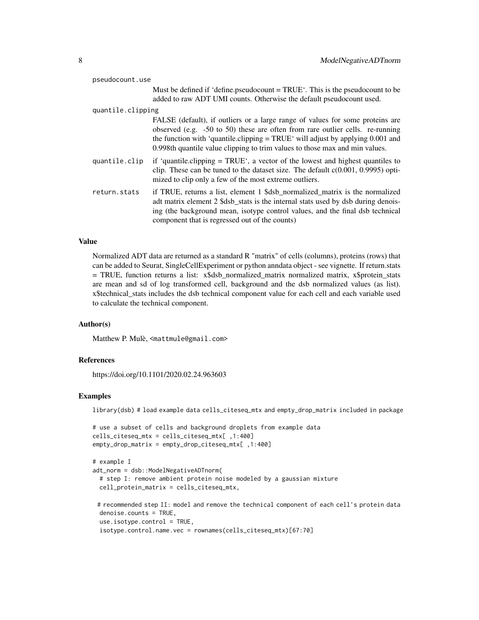| pseudocount.use   |                                                                                                                                                                                                                                                                                                                                    |  |  |  |
|-------------------|------------------------------------------------------------------------------------------------------------------------------------------------------------------------------------------------------------------------------------------------------------------------------------------------------------------------------------|--|--|--|
|                   | Must be defined if 'define.pseudocount $= TRUE'$ . This is the pseudocount to be<br>added to raw ADT UMI counts. Otherwise the default pseudocount used.                                                                                                                                                                           |  |  |  |
| quantile.clipping |                                                                                                                                                                                                                                                                                                                                    |  |  |  |
|                   | FALSE (default), if outliers or a large range of values for some proteins are<br>observed (e.g. -50 to 50) these are often from rare outlier cells. re-running<br>the function with 'quantile.clipping $= TRUE$ ' will adjust by applying 0.001 and<br>0.998th quantile value clipping to trim values to those max and min values. |  |  |  |
| quantile.clip     | if 'quantile.clipping $= TRUE$ ', a vector of the lowest and highest quantiles to<br>clip. These can be tuned to the dataset size. The default $c(0.001, 0.9995)$ opti-<br>mized to clip only a few of the most extreme outliers.                                                                                                  |  |  |  |
| return.stats      | if TRUE, returns a list, element 1 \$dsb_normalized_matrix is the normalized<br>adt matrix element 2 \$dsb_stats is the internal stats used by dsb during denois-<br>ing (the background mean, isotype control values, and the final dsb technical<br>component that is regressed out of the counts)                               |  |  |  |

#### Value

Normalized ADT data are returned as a standard R "matrix" of cells (columns), proteins (rows) that can be added to Seurat, SingleCellExperiment or python anndata object - see vignette. If return.stats = TRUE, function returns a list: x\$dsb\_normalized\_matrix normalized matrix, x\$protein\_stats are mean and sd of log transformed cell, background and the dsb normalized values (as list). x\$technical\_stats includes the dsb technical component value for each cell and each variable used to calculate the technical component.

#### Author(s)

Matthew P. Mulè, <mattmule@gmail.com>

#### References

https://doi.org/10.1101/2020.02.24.963603

#### Examples

library(dsb) # load example data cells\_citeseq\_mtx and empty\_drop\_matrix included in package

```
# use a subset of cells and background droplets from example data
cells_citeseq_mtx = cells_citeseq_mtx[ ,1:400]
empty_drop_matrix = empty_drop_citeseq_mtx[ ,1:400]
```

```
# example I
adt_norm = dsb::ModelNegativeADTnorm(
 # step I: remove ambient protein noise modeled by a gaussian mixture
 cell_protein_matrix = cells_citeseq_mtx,
 # recommended step II: model and remove the technical component of each cell's protein data
 denoise.counts = TRUE,
 use.isotype.control = TRUE,
 isotype.control.name.vec = rownames(cells_citeseq_mtx)[67:70]
```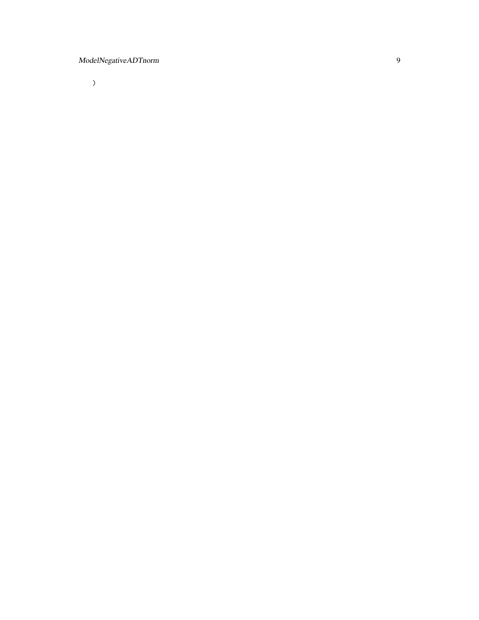### ModelNegativeADTnorm

 $\overline{\phantom{a}}$